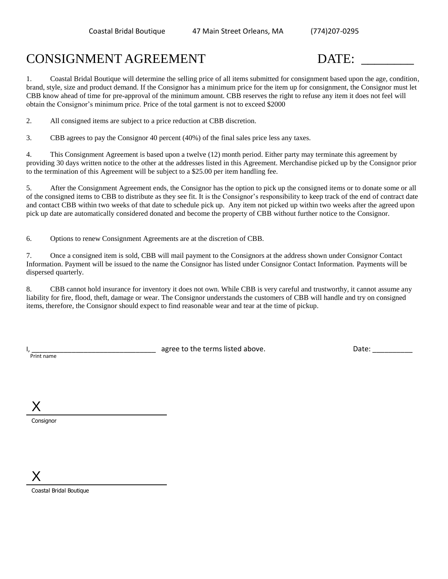## CONSIGNMENT AGREEMENT DATE: \_\_\_\_\_\_\_\_

1. Coastal Bridal Boutique will determine the selling price of all items submitted for consignment based upon the age, condition, brand, style, size and product demand. If the Consignor has a minimum price for the item up for consignment, the Consignor must let CBB know ahead of time for pre-approval of the minimum amount. CBB reserves the right to refuse any item it does not feel will obtain the Consignor's minimum price. Price of the total garment is not to exceed \$2000

2. All consigned items are subject to a price reduction at CBB discretion.

3. CBB agrees to pay the Consignor 40 percent (40%) of the final sales price less any taxes.

4. This Consignment Agreement is based upon a twelve (12) month period. Either party may terminate this agreement by providing 30 days written notice to the other at the addresses listed in this Agreement. Merchandise picked up by the Consignor prior to the termination of this Agreement will be subject to a \$25.00 per item handling fee.

5. After the Consignment Agreement ends, the Consignor has the option to pick up the consigned items or to donate some or all of the consigned items to CBB to distribute as they see fit. It is the Consignor's responsibility to keep track of the end of contract date and contact CBB within two weeks of that date to schedule pick up. Any item not picked up within two weeks after the agreed upon pick up date are automatically considered donated and become the property of CBB without further notice to the Consignor.

6. Options to renew Consignment Agreements are at the discretion of CBB.

7. Once a consigned item is sold, CBB will mail payment to the Consignors at the address shown under Consignor Contact Information. Payment will be issued to the name the Consignor has listed under Consignor Contact Information. Payments will be dispersed quarterly.

8. CBB cannot hold insurance for inventory it does not own. While CBB is very careful and trustworthy, it cannot assume any liability for fire, flood, theft, damage or wear. The Consignor understands the customers of CBB will handle and try on consigned items, therefore, the Consignor should expect to find reasonable wear and tear at the time of pickup.

Print name

I, Letter and the same state above agree to the terms listed above. The contract of the Date:  $\Box$ 

X

**Consignor** 

X

Coastal Bridal Boutique